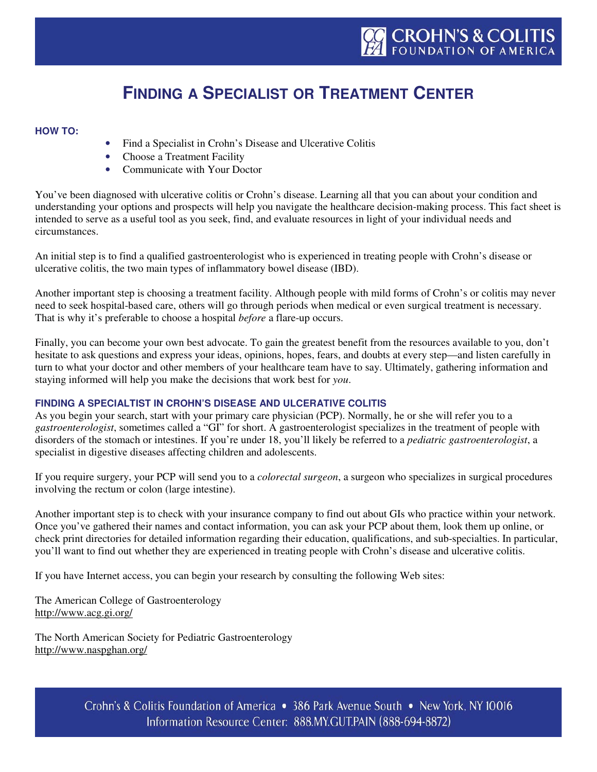# **FINDING A SPECIALIST OR TREATMENT CENTER**

# **HOW TO:**

- Find a Specialist in Crohn's Disease and Ulcerative Colitis
- Choose a Treatment Facility
- Communicate with Your Doctor

You've been diagnosed with ulcerative colitis or Crohn's disease. Learning all that you can about your condition and understanding your options and prospects will help you navigate the healthcare decision-making process. This fact sheet is intended to serve as a useful tool as you seek, find, and evaluate resources in light of your individual needs and circumstances.

An initial step is to find a qualified gastroenterologist who is experienced in treating people with Crohn's disease or ulcerative colitis, the two main types of inflammatory bowel disease (IBD).

Another important step is choosing a treatment facility. Although people with mild forms of Crohn's or colitis may never need to seek hospital-based care, others will go through periods when medical or even surgical treatment is necessary. That is why it's preferable to choose a hospital *before* a flare-up occurs.

Finally, you can become your own best advocate. To gain the greatest benefit from the resources available to you, don't hesitate to ask questions and express your ideas, opinions, hopes, fears, and doubts at every step—and listen carefully in turn to what your doctor and other members of your healthcare team have to say. Ultimately, gathering information and staying informed will help you make the decisions that work best for *you*.

# **FINDING A SPECIALTIST IN CROHN'S DISEASE AND ULCERATIVE COLITIS**

As you begin your search, start with your primary care physician (PCP). Normally, he or she will refer you to a *gastroenterologist*, sometimes called a "GI" for short. A gastroenterologist specializes in the treatment of people with disorders of the stomach or intestines. If you're under 18, you'll likely be referred to a *pediatric gastroenterologist*, a specialist in digestive diseases affecting children and adolescents.

If you require surgery, your PCP will send you to a *colorectal surgeon*, a surgeon who specializes in surgical procedures involving the rectum or colon (large intestine).

Another important step is to check with your insurance company to find out about GIs who practice within your network. Once you've gathered their names and contact information, you can ask your PCP about them, look them up online, or check print directories for detailed information regarding their education, qualifications, and sub-specialties. In particular, you'll want to find out whether they are experienced in treating people with Crohn's disease and ulcerative colitis.

If you have Internet access, you can begin your research by consulting the following Web sites:

The American College of Gastroenterology http://www.acg.gi.org/

The North American Society for Pediatric Gastroenterology http://www.naspghan.org/

> Crohn's & Colitis Foundation of America • 386 Park Avenue South • New York, NY 10016 Information Resource Center: 888.MY.GUT.PAIN (888-694-8872)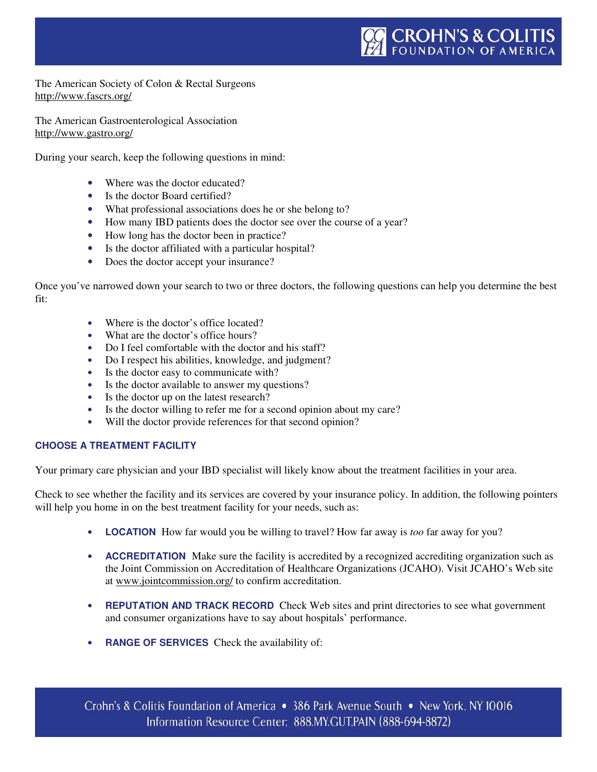The American Society of Colon & Rectal Surgeons http://www.fascrs.org/

The American Gastroenterological Association http://www.gastro.org/

During your search, keep the following questions in mind:

- Where was the doctor educated?
- Is the doctor Board certified?
- What professional associations does he or she belong to?
- How many IBD patients does the doctor see over the course of a year?
- How long has the doctor been in practice?
- Is the doctor affiliated with a particular hospital?
- Does the doctor accept your insurance?

Once you've narrowed down your search to two or three doctors, the following questions can help you determine the best fit:

- Where is the doctor's office located?
- What are the doctor's office hours?
- Do I feel comfortable with the doctor and his staff?
- Do I respect his abilities, knowledge, and judgment?
- Is the doctor easy to communicate with?
- Is the doctor available to answer my questions?
- Is the doctor up on the latest research?
- Is the doctor willing to refer me for a second opinion about my care?
- Will the doctor provide references for that second opinion?

# **CHOOSE A TREATMENT FACILITY**

Your primary care physician and your IBD specialist will likely know about the treatment facilities in your area.

Check to see whether the facility and its services are covered by your insurance policy. In addition, the following pointers will help you home in on the best treatment facility for your needs, such as:

- **LOCATION** How far would you be willing to travel? How far away is *too* far away for you?
- **ACCREDITATION** Make sure the facility is accredited by a recognized accrediting organization such as the Joint Commission on Accreditation of Healthcare Organizations (JCAHO). Visit JCAHO's Web site at www.jointcommission.org/ to confirm accreditation.
- **REPUTATION AND TRACK RECORD** Check Web sites and print directories to see what government and consumer organizations have to say about hospitals' performance.
- **RANGE OF SERVICES** Check the availability of: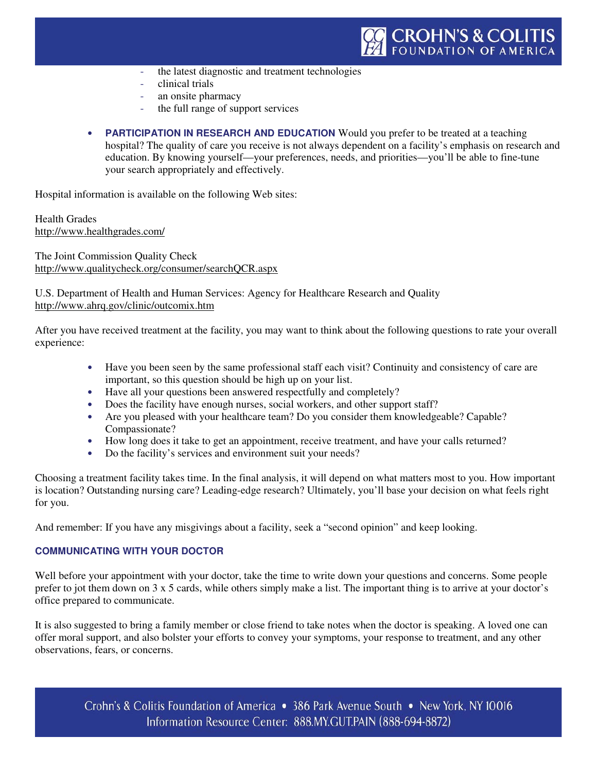- the latest diagnostic and treatment technologies
- clinical trials
- an onsite pharmacy
- the full range of support services
- **PARTICIPATION IN RESEARCH AND EDUCATION** Would you prefer to be treated at a teaching hospital? The quality of care you receive is not always dependent on a facility's emphasis on research and education. By knowing yourself—your preferences, needs, and priorities—you'll be able to fine-tune your search appropriately and effectively.

Hospital information is available on the following Web sites:

Health Grades http://www.healthgrades.com/

The Joint Commission Quality Check http://www.qualitycheck.org/consumer/searchQCR.aspx

U.S. Department of Health and Human Services: Agency for Healthcare Research and Quality http://www.ahrq.gov/clinic/outcomix.htm

After you have received treatment at the facility, you may want to think about the following questions to rate your overall experience:

- Have you been seen by the same professional staff each visit? Continuity and consistency of care are important, so this question should be high up on your list.
- Have all your questions been answered respectfully and completely?
- Does the facility have enough nurses, social workers, and other support staff?
- Are you pleased with your healthcare team? Do you consider them knowledgeable? Capable? Compassionate?
- How long does it take to get an appointment, receive treatment, and have your calls returned?
- Do the facility's services and environment suit your needs?

Choosing a treatment facility takes time. In the final analysis, it will depend on what matters most to you. How important is location? Outstanding nursing care? Leading-edge research? Ultimately, you'll base your decision on what feels right for you.

And remember: If you have any misgivings about a facility, seek a "second opinion" and keep looking.

# **COMMUNICATING WITH YOUR DOCTOR**

Well before your appointment with your doctor, take the time to write down your questions and concerns. Some people prefer to jot them down on 3 x 5 cards, while others simply make a list. The important thing is to arrive at your doctor's office prepared to communicate.

It is also suggested to bring a family member or close friend to take notes when the doctor is speaking. A loved one can offer moral support, and also bolster your efforts to convey your symptoms, your response to treatment, and any other observations, fears, or concerns.

Crohn's & Colitis Foundation of America • 386 Park Avenue South • New York, NY 10016 Information Resource Center: 888.MY.GUT.PAIN (888-694-8872)